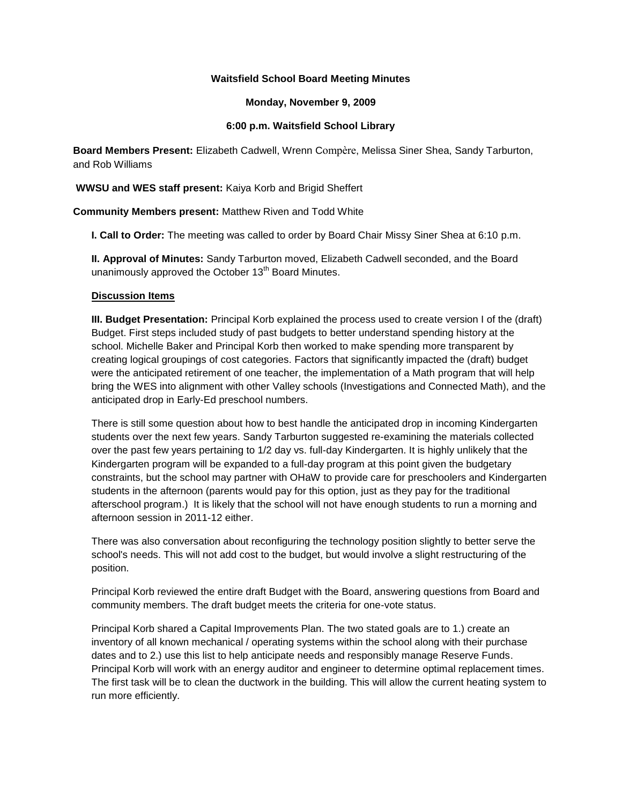### **Waitsfield School Board Meeting Minutes**

#### **Monday, November 9, 2009**

### **6:00 p.m. Waitsfield School Library**

**Board Members Present:** Elizabeth Cadwell, Wrenn Compère, Melissa Siner Shea, Sandy Tarburton, and Rob Williams

**WWSU and WES staff present:** Kaiya Korb and Brigid Sheffert

**Community Members present:** Matthew Riven and Todd White

**I. Call to Order:** The meeting was called to order by Board Chair Missy Siner Shea at 6:10 p.m.

**II. Approval of Minutes:** Sandy Tarburton moved, Elizabeth Cadwell seconded, and the Board unanimously approved the October  $13<sup>th</sup>$  Board Minutes.

### **Discussion Items**

**III. Budget Presentation:** Principal Korb explained the process used to create version I of the (draft) Budget. First steps included study of past budgets to better understand spending history at the school. Michelle Baker and Principal Korb then worked to make spending more transparent by creating logical groupings of cost categories. Factors that significantly impacted the (draft) budget were the anticipated retirement of one teacher, the implementation of a Math program that will help bring the WES into alignment with other Valley schools (Investigations and Connected Math), and the anticipated drop in Early-Ed preschool numbers.

There is still some question about how to best handle the anticipated drop in incoming Kindergarten students over the next few years. Sandy Tarburton suggested re-examining the materials collected over the past few years pertaining to 1/2 day vs. full-day Kindergarten. It is highly unlikely that the Kindergarten program will be expanded to a full-day program at this point given the budgetary constraints, but the school may partner with OHaW to provide care for preschoolers and Kindergarten students in the afternoon (parents would pay for this option, just as they pay for the traditional afterschool program.) It is likely that the school will not have enough students to run a morning and afternoon session in 2011-12 either.

There was also conversation about reconfiguring the technology position slightly to better serve the school's needs. This will not add cost to the budget, but would involve a slight restructuring of the position.

Principal Korb reviewed the entire draft Budget with the Board, answering questions from Board and community members. The draft budget meets the criteria for one-vote status.

Principal Korb shared a Capital Improvements Plan. The two stated goals are to 1.) create an inventory of all known mechanical / operating systems within the school along with their purchase dates and to 2.) use this list to help anticipate needs and responsibly manage Reserve Funds. Principal Korb will work with an energy auditor and engineer to determine optimal replacement times. The first task will be to clean the ductwork in the building. This will allow the current heating system to run more efficiently.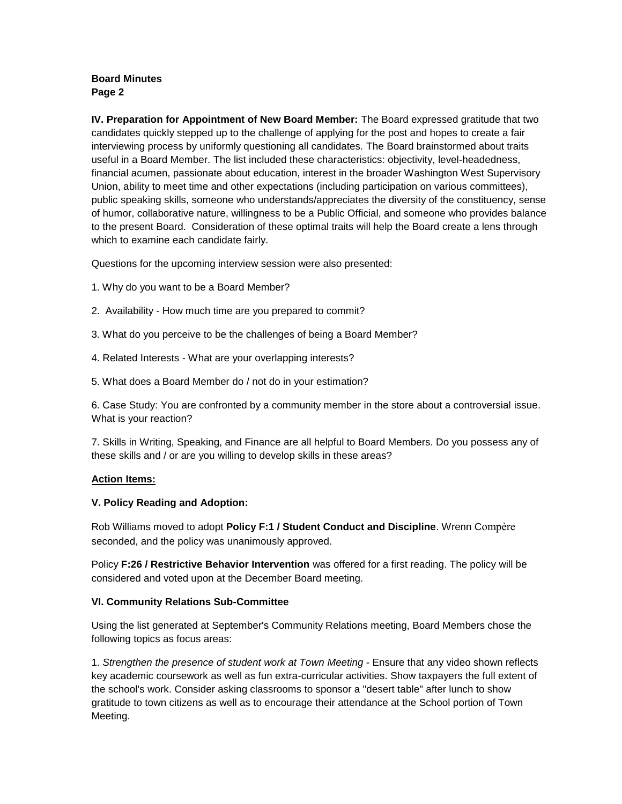## **Board Minutes Page 2**

**IV. Preparation for Appointment of New Board Member:** The Board expressed gratitude that two candidates quickly stepped up to the challenge of applying for the post and hopes to create a fair interviewing process by uniformly questioning all candidates. The Board brainstormed about traits useful in a Board Member. The list included these characteristics: objectivity, level-headedness, financial acumen, passionate about education, interest in the broader Washington West Supervisory Union, ability to meet time and other expectations (including participation on various committees), public speaking skills, someone who understands/appreciates the diversity of the constituency, sense of humor, collaborative nature, willingness to be a Public Official, and someone who provides balance to the present Board. Consideration of these optimal traits will help the Board create a lens through which to examine each candidate fairly.

Questions for the upcoming interview session were also presented:

- 1. Why do you want to be a Board Member?
- 2. Availability How much time are you prepared to commit?
- 3. What do you perceive to be the challenges of being a Board Member?
- 4. Related Interests What are your overlapping interests?
- 5. What does a Board Member do / not do in your estimation?

6. Case Study: You are confronted by a community member in the store about a controversial issue. What is your reaction?

7. Skills in Writing, Speaking, and Finance are all helpful to Board Members. Do you possess any of these skills and / or are you willing to develop skills in these areas?

### **Action Items:**

#### **V. Policy Reading and Adoption:**

Rob Williams moved to adopt **Policy F:1 / Student Conduct and Discipline**. Wrenn Compère seconded, and the policy was unanimously approved.

Policy **F:26 / Restrictive Behavior Intervention** was offered for a first reading. The policy will be considered and voted upon at the December Board meeting.

### **VI. Community Relations Sub-Committee**

Using the list generated at September's Community Relations meeting, Board Members chose the following topics as focus areas:

1. *Strengthen the presence of student work at Town Meeting* - Ensure that any video shown reflects key academic coursework as well as fun extra-curricular activities. Show taxpayers the full extent of the school's work. Consider asking classrooms to sponsor a "desert table" after lunch to show gratitude to town citizens as well as to encourage their attendance at the School portion of Town Meeting.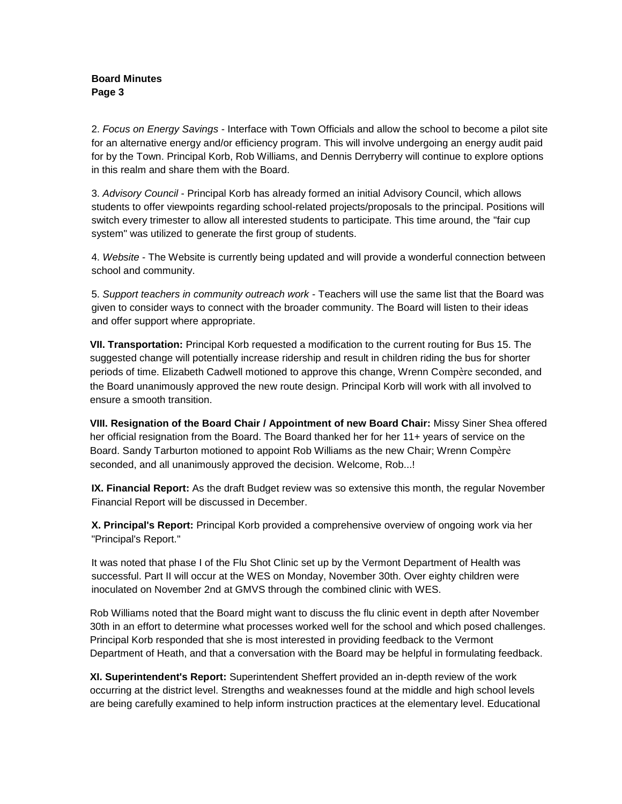# **Board Minutes Page 3**

2. *Focus on Energy Savings* - Interface with Town Officials and allow the school to become a pilot site for an alternative energy and/or efficiency program. This will involve undergoing an energy audit paid for by the Town. Principal Korb, Rob Williams, and Dennis Derryberry will continue to explore options in this realm and share them with the Board.

3. *Advisory Council* - Principal Korb has already formed an initial Advisory Council, which allows students to offer viewpoints regarding school-related projects/proposals to the principal. Positions will switch every trimester to allow all interested students to participate. This time around, the "fair cup system" was utilized to generate the first group of students.

4. *Website* - The Website is currently being updated and will provide a wonderful connection between school and community.

5. *Support teachers in community outreach work* - Teachers will use the same list that the Board was given to consider ways to connect with the broader community. The Board will listen to their ideas and offer support where appropriate.

**VII. Transportation:** Principal Korb requested a modification to the current routing for Bus 15. The suggested change will potentially increase ridership and result in children riding the bus for shorter periods of time. Elizabeth Cadwell motioned to approve this change, Wrenn Compère seconded, and the Board unanimously approved the new route design. Principal Korb will work with all involved to ensure a smooth transition.

**VIII. Resignation of the Board Chair / Appointment of new Board Chair:** Missy Siner Shea offered her official resignation from the Board. The Board thanked her for her 11+ years of service on the Board. Sandy Tarburton motioned to appoint Rob Williams as the new Chair; Wrenn Compère seconded, and all unanimously approved the decision. Welcome, Rob...!

**IX. Financial Report:** As the draft Budget review was so extensive this month, the regular November Financial Report will be discussed in December.

**X. Principal's Report:** Principal Korb provided a comprehensive overview of ongoing work via her "Principal's Report."

It was noted that phase I of the Flu Shot Clinic set up by the Vermont Department of Health was successful. Part II will occur at the WES on Monday, November 30th. Over eighty children were inoculated on November 2nd at GMVS through the combined clinic with WES.

Rob Williams noted that the Board might want to discuss the flu clinic event in depth after November 30th in an effort to determine what processes worked well for the school and which posed challenges. Principal Korb responded that she is most interested in providing feedback to the Vermont Department of Heath, and that a conversation with the Board may be helpful in formulating feedback.

**XI. Superintendent's Report:** Superintendent Sheffert provided an in-depth review of the work occurring at the district level. Strengths and weaknesses found at the middle and high school levels are being carefully examined to help inform instruction practices at the elementary level. Educational